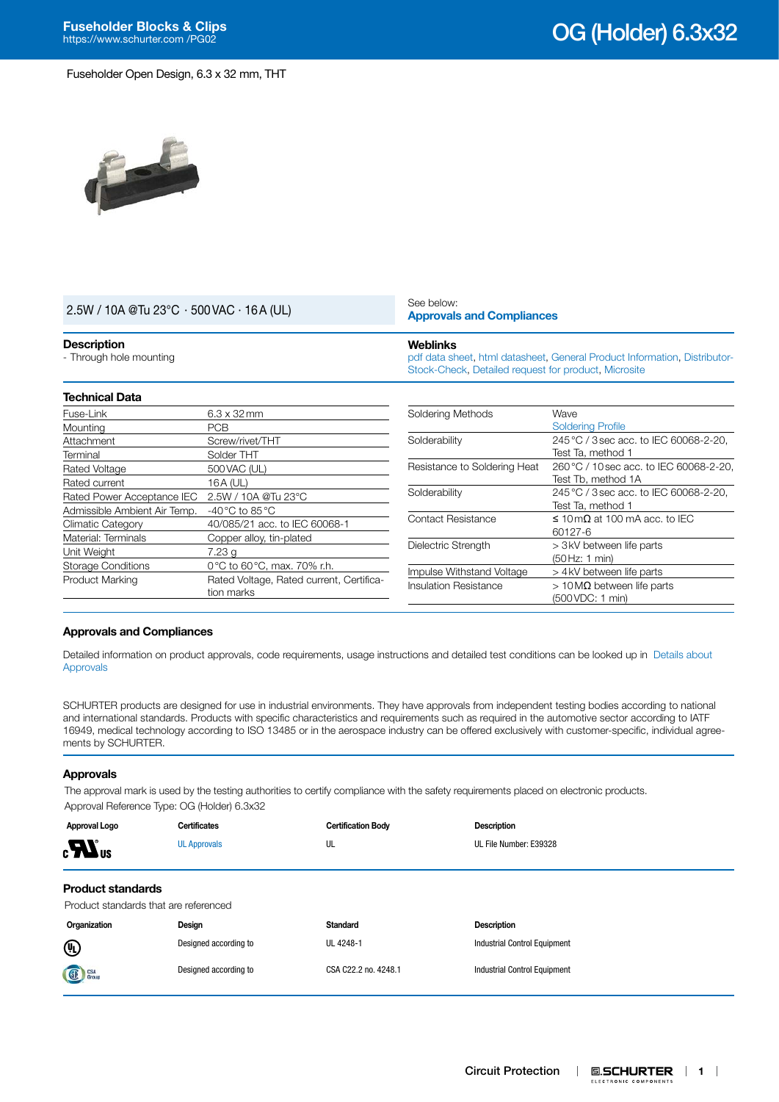

| $2.5W / 10A @Tu 23°C \cdot 500 VAC \cdot 16A (UL)$<br><b>Description</b><br>- Through hole mounting |                    | See below:                                                                                                                                           | <b>Approvals and Compliances</b>                              |  |  |
|-----------------------------------------------------------------------------------------------------|--------------------|------------------------------------------------------------------------------------------------------------------------------------------------------|---------------------------------------------------------------|--|--|
|                                                                                                     |                    | <b>Weblinks</b><br>pdf data sheet, html datasheet, General Product Information, Distributor-<br>Stock-Check, Detailed request for product, Microsite |                                                               |  |  |
| <b>Technical Data</b>                                                                               |                    |                                                                                                                                                      |                                                               |  |  |
| Fuse-Link                                                                                           | $6.3 \times 32$ mm | Soldering Methods                                                                                                                                    | Wave                                                          |  |  |
| Mounting                                                                                            | <b>PCB</b>         |                                                                                                                                                      | <b>Soldering Profile</b>                                      |  |  |
| Attachment                                                                                          | Screw/rivet/THT    | Solderability                                                                                                                                        | 245 °C / 3 sec acc. to IEC 60068-2-20,<br>Test Ta. method 1   |  |  |
| Terminal                                                                                            | Solder THT         |                                                                                                                                                      |                                                               |  |  |
| Rated Voltage                                                                                       | 500 VAC (UL)       | Resistance to Soldering Heat                                                                                                                         | 260 °C / 10 sec acc. to IEC 60068-2-20,<br>Test Tb, method 1A |  |  |
| Rated current                                                                                       | 16A (UL)           |                                                                                                                                                      |                                                               |  |  |
| Rated Power Acceptance IEC 2.5W / 10A @Tu 23°C                                                      |                    | Solderability                                                                                                                                        | 245 °C / 3 sec acc. to IEC 60068-2-20.                        |  |  |

# <span id="page-0-0"></span>**Approvals and Compliances**

Admissible Ambient Air Temp. -40°C to 85°C

Unit Weight 7.23 g

Climatic Category 40/085/21 acc. to IEC 60068-1 Material: Terminals Copper alloy, tin-plated

Storage Conditions 0°C to 60°C, max. 70% r.h.

Product Marking Rated Voltage, Rated current, Certification marks

Detailed information on product approvals, code requirements, usage instructions and detailed test conditions can be looked up in [Details about](https://www.schurter.com/en/Components/Connectors/General-Product-Information#1.1)  [Approvals](https://www.schurter.com/en/Components/Connectors/General-Product-Information#1.1)

SCHURTER products are designed for use in industrial environments. They have approvals from independent testing bodies according to national and international standards. Products with specific characteristics and requirements such as required in the automotive sector according to IATF 16949, medical technology according to ISO 13485 or in the aerospace industry can be offered exclusively with customer-specific, individual agreements by SCHURTER.

#### **Approvals**

The approval mark is used by the testing authorities to certify compliance with the safety requirements placed on electronic products. Approval Reference Type: OG (Holder) 6.3x32

| Approval Logo                                                     | <b>Certificates</b>   | <b>Certification Body</b> | <b>Description</b>                  |  |
|-------------------------------------------------------------------|-----------------------|---------------------------|-------------------------------------|--|
| $_{\rm c}$ $\mathbf{W}_{\rm us}$                                  | <b>UL Approvals</b>   | UL                        | UL File Number: E39328              |  |
| <b>Product standards</b><br>Product standards that are referenced |                       |                           |                                     |  |
| Organization                                                      | Design                | <b>Standard</b>           | <b>Description</b>                  |  |
| ⊕                                                                 | Designed according to | UL 4248-1                 | <b>Industrial Control Equipment</b> |  |
| <b>SE</b> CSA                                                     | Designed according to | CSA C22.2 no. 4248.1      | <b>Industrial Control Equipment</b> |  |

Test Ta, method 1

(50Hz: 1 min)

(500VDC: 1 min)

Contact Resistance  $\leq 10 \text{ m}\Omega$  at 100 mA acc. to IEC 60127-6

Dielectric Strength  $> 3$ kV between life parts

Impulse Withstand Voltage > 4kV between life parts Insulation Resistance  $> 10 \, \text{M}\Omega$  between life parts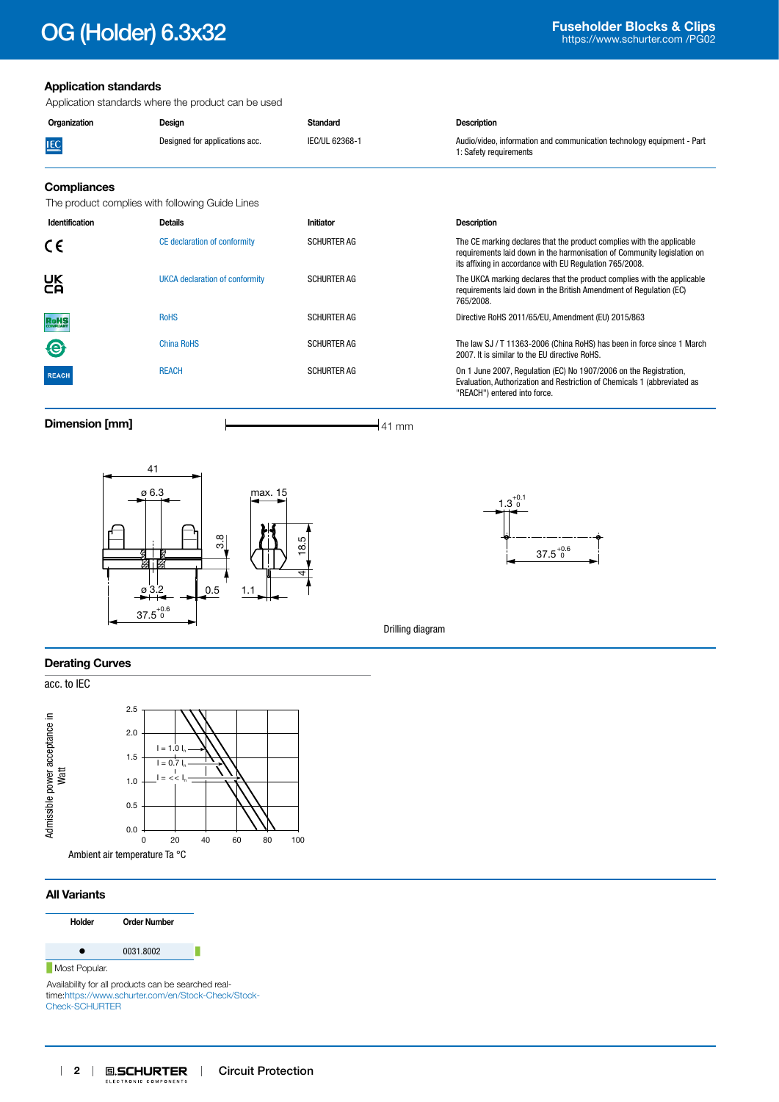# **Fuseholder Blocks & Clips Fuseholder Blocks & Clips Fuseholder Blocks & Clips**

# **Application standards**

Application standards where the product can be used

| IEC/UL 62368-1<br>Audio/video, information and communication technology equipment - Part<br>Designed for applications acc.<br><b>IEC</b><br>1: Safety requirements | Organization | Desian | Standard | <b>Description</b> |
|--------------------------------------------------------------------------------------------------------------------------------------------------------------------|--------------|--------|----------|--------------------|
|                                                                                                                                                                    |              |        |          |                    |

### **Compliances**

The product complies with following Guide Lines

| Identification | <b>Details</b>                 | Initiator          | <b>Description</b>                                                                                                                                                                                          |  |
|----------------|--------------------------------|--------------------|-------------------------------------------------------------------------------------------------------------------------------------------------------------------------------------------------------------|--|
| CE             | CE declaration of conformity   | <b>SCHURTER AG</b> | The CE marking declares that the product complies with the applicable<br>requirements laid down in the harmonisation of Community legislation on<br>its affixing in accordance with EU Regulation 765/2008. |  |
| UK<br>CA       | UKCA declaration of conformity | <b>SCHURTER AG</b> | The UKCA marking declares that the product complies with the applicable<br>requirements laid down in the British Amendment of Regulation (EC)<br>765/2008.                                                  |  |
| <b>RoHS</b>    | <b>RoHS</b>                    | <b>SCHURTER AG</b> | Directive RoHS 2011/65/EU, Amendment (EU) 2015/863                                                                                                                                                          |  |
| $\bigcirc$     | China RoHS                     | <b>SCHURTER AG</b> | The law SJ / T 11363-2006 (China RoHS) has been in force since 1 March<br>2007. It is similar to the EU directive RoHS.                                                                                     |  |
| <b>REACH</b>   | <b>REACH</b>                   | <b>SCHURTER AG</b> | On 1 June 2007, Regulation (EC) No 1907/2006 on the Registration,<br>Evaluation, Authorization and Restriction of Chemicals 1 (abbreviated as<br>"REACH") entered into force.                               |  |

**Dimension [mm]**  $\qquad \qquad \qquad$  **11 mm** 





Drilling diagram

#### **Derating Curves**

acc. to IEC



## **All Variants**



Availability for all products can be searched realtime:[https://www.schurter.com/en/Stock-Check/Stock-](https://www.schurter.com/en/Stock-Check/Stock-Check-SCHURTER)[Check-SCHURTER](https://www.schurter.com/en/Stock-Check/Stock-Check-SCHURTER)